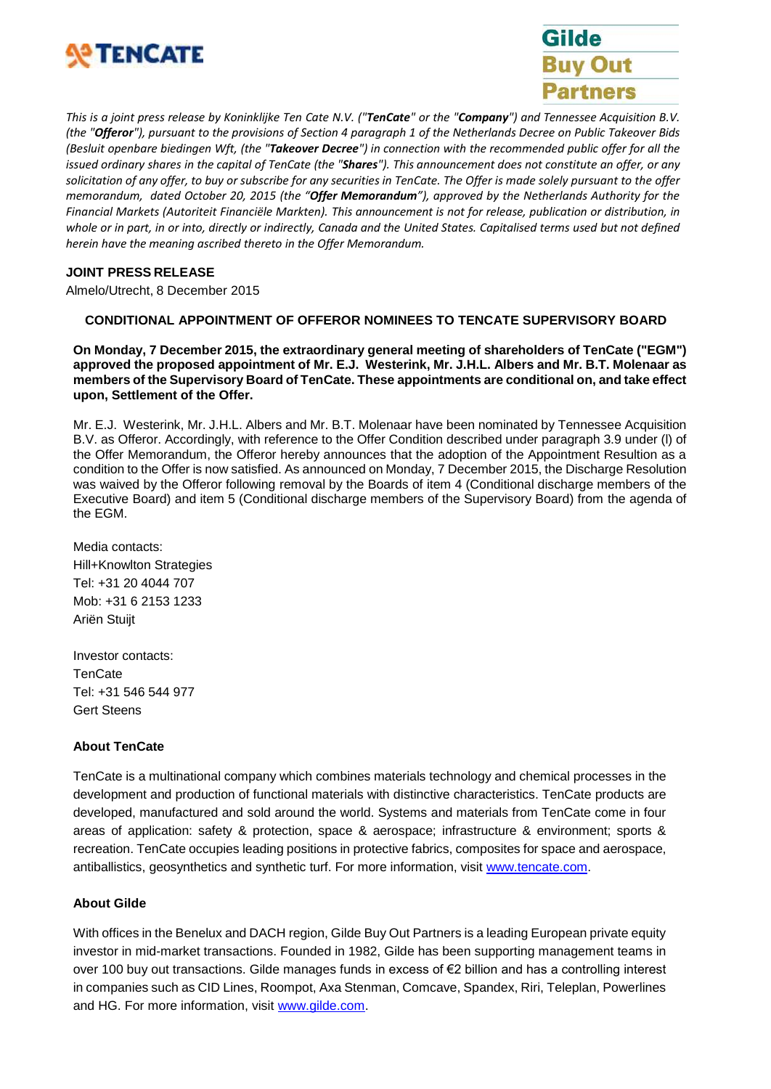



This is a joint press release by Koninklijke Ten Cate N.V. ("TenCate" or the "Company") and Tennessee Acquisition B.V. (the "Offeror"), pursuant to the provisions of Section 4 paragraph 1 of the Netherlands Decree on Public Takeover Bids (Besluit openbare biedingen Wft, (the "Takeover Decree") in connection with the recommended public offer for all the issued ordinary shares in the capital of TenCate (the "Shares"). This announcement does not constitute an offer, or any *solicitation of any offer, to buy or subscribe for any securities in TenCate. The Offer is made solely pursuant to the offer memorandum, dated October 20, 2015 (the "Offer Memorandum"), approved by the Netherlands Authority for the Financial Markets (Autoriteit Financiële Markten). This announcement is not for release, publication or distribution, in* whole or in part, in or into, directly or indirectly, Canada and the United States. Capitalised terms used but not defined *herein have the meaning ascribed thereto in the Offer Memorandum.*

### **JOINT PRESS RELEASE**

Almelo/Utrecht, 8 December 2015

### **CONDITIONAL APPOINTMENT OF OFFEROR NOMINEES TO TENCATE SUPERVISORY BOARD**

**On Monday, 7 December 2015, the extraordinary general meeting of shareholders of TenCate ("EGM") approved the proposed appointment of Mr. E.J. Westerink, Mr. J.H.L. Albers and Mr. B.T. Molenaar as members of the Supervisory Board of TenCate. These appointments are conditional on, and take effect upon, Settlement of the Offer.**

Mr. E.J. Westerink, Mr. J.H.L. Albers and Mr. B.T. Molenaar have been nominated by Tennessee Acquisition B.V. as Offeror. Accordingly, with reference to the Offer Condition described under paragraph 3.9 under (l) of the Offer Memorandum, the Offeror hereby announces that the adoption of the Appointment Resultion as a condition to the Offer is now satisfied. As announced on Monday, 7 December 2015, the Discharge Resolution was waived by the Offeror following removal by the Boards of item 4 (Conditional discharge members of the Executive Board) and item 5 (Conditional discharge members of the Supervisory Board) from the agenda of the EGM.

Media contacts: Hill+Knowlton Strategies Tel: +31 20 4044 707 Mob: +31 6 2153 1233 Ariën Stuijt

Investor contacts: TenCate Tel: +31 546 544 977 Gert Steens

# **About TenCate**

TenCate is a multinational company which combines materials technology and chemical processes in the development and production of functional materials with distinctive characteristics. TenCate products are developed, manufactured and sold around the world. Systems and materials from TenCate come in four areas of application: safety & protection, space & aerospace; infrastructure & environment; sports & recreation. TenCate occupies leading positions in protective fabrics, composites for space and aerospace, antiballistics, geosynthetics and synthetic turf. For more information, visit [www.tencate.com.](http://www.tencate.com/)

#### **About Gilde**

With offices in the Benelux and DACH region, Gilde Buy Out Partners is a leading European private equity investor in mid-market transactions. Founded in 1982, Gilde has been supporting management teams in over 100 buy out transactions. Gilde manages funds in excess of €2 billion and has a controlling interest in companies such as CID Lines, Roompot, Axa Stenman, Comcave, Spandex, Riri, Teleplan, Powerlines and HG. For more information, visit [www.gilde.com.](http://www.gilde.com/)